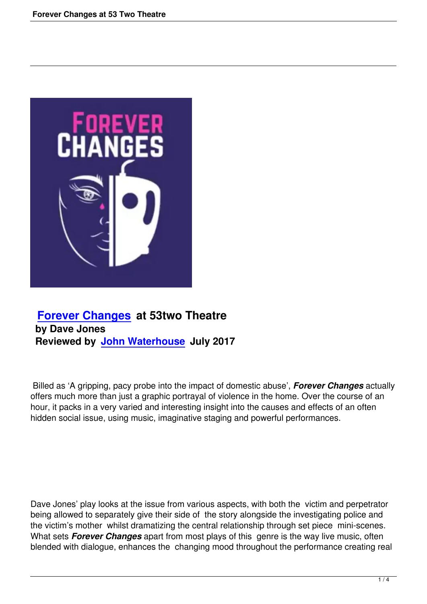

## **Forever Changes at 53two Theatre by Dave Jones [Reviewed by John W](forever-changes-at-53-two-theatre.html)aterhouse July 2017**

 Billed as 'A grippi[ng, pacy probe into the](writers.html#john-waterhouse) impact of domestic abuse', *Forever Changes* actually offers much more than just a graphic portrayal of violence in the home. Over the course of an hour, it packs in a very varied and interesting insight into the causes and effects of an often hidden social issue, using music, imaginative staging and powerful performances.

Dave Jones' play looks at the issue from various aspects, with both the victim and perpetrator being allowed to separately give their side of the story alongside the investigating police and the victim's mother whilst dramatizing the central relationship through set piece mini-scenes. What sets *Forever Changes* apart from most plays of this genre is the way live music, often blended with dialogue, enhances the changing mood throughout the performance creating real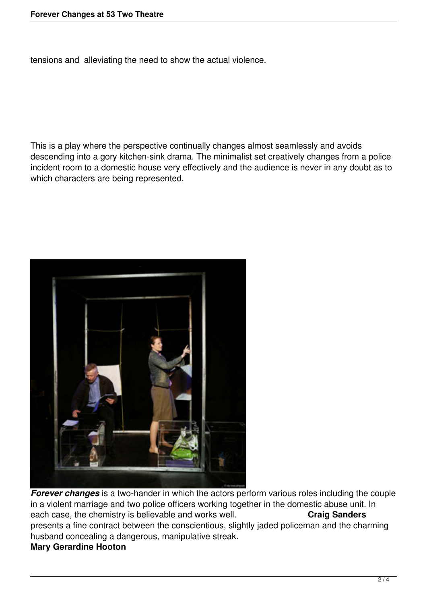tensions and alleviating the need to show the actual violence.

This is a play where the perspective continually changes almost seamlessly and avoids descending into a gory kitchen-sink drama. The minimalist set creatively changes from a police incident room to a domestic house very effectively and the audience is never in any doubt as to which characters are being represented.



**Forever changes** is a two-hander in which the actors perform various roles including the couple in a violent marriage and two police officers working together in the domestic abuse unit. In each case, the chemistry is believable and works well. **Craig Sanders** presents a fine contract between the conscientious, slightly jaded policeman and the charming husband concealing a dangerous, manipulative streak. **Mary Gerardine Hooton**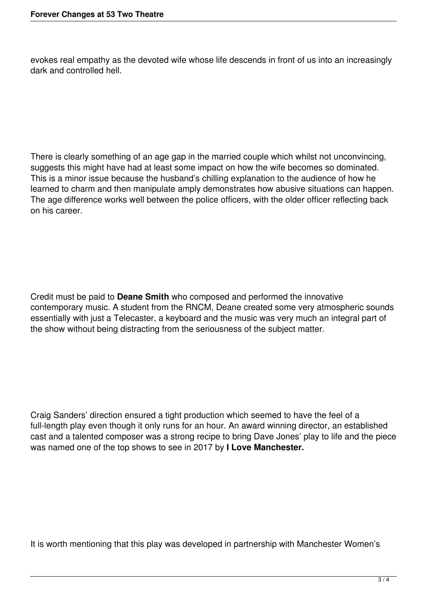evokes real empathy as the devoted wife whose life descends in front of us into an increasingly dark and controlled hell.

There is clearly something of an age gap in the married couple which whilst not unconvincing, suggests this might have had at least some impact on how the wife becomes so dominated. This is a minor issue because the husband's chilling explanation to the audience of how he learned to charm and then manipulate amply demonstrates how abusive situations can happen. The age difference works well between the police officers, with the older officer reflecting back on his career.

Credit must be paid to **Deane Smith** who composed and performed the innovative contemporary music. A student from the RNCM, Deane created some very atmospheric sounds essentially with just a Telecaster, a keyboard and the music was very much an integral part of the show without being distracting from the seriousness of the subject matter.

Craig Sanders' direction ensured a tight production which seemed to have the feel of a full-length play even though it only runs for an hour. An award winning director, an established cast and a talented composer was a strong recipe to bring Dave Jones' play to life and the piece was named one of the top shows to see in 2017 by **I Love Manchester.**

It is worth mentioning that this play was developed in partnership with Manchester Women's